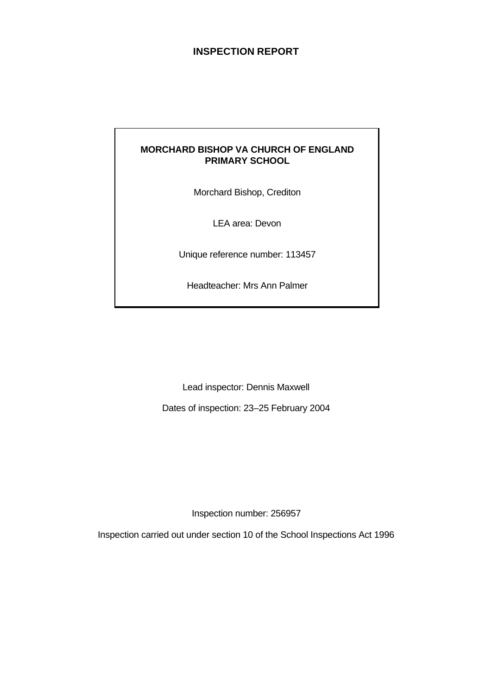# **INSPECTION REPORT**

# **MORCHARD BISHOP VA CHURCH OF ENGLAND PRIMARY SCHOOL**

Morchard Bishop, Crediton

LEA area: Devon

Unique reference number: 113457

Headteacher: Mrs Ann Palmer

Lead inspector: Dennis Maxwell

Dates of inspection: 23–25 February 2004

Inspection number: 256957

Inspection carried out under section 10 of the School Inspections Act 1996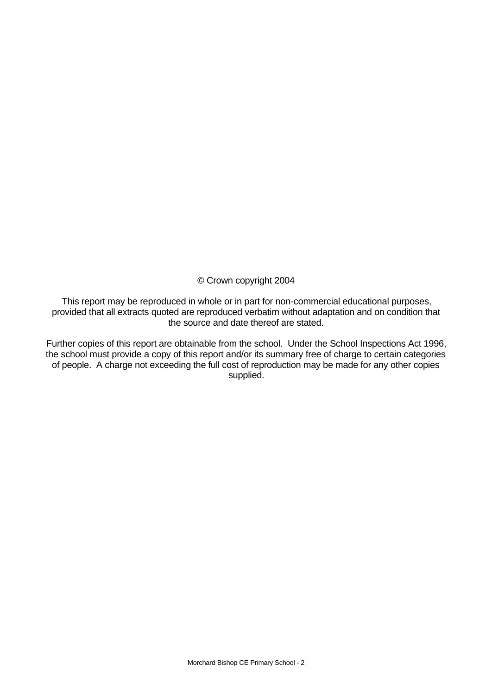© Crown copyright 2004

This report may be reproduced in whole or in part for non-commercial educational purposes, provided that all extracts quoted are reproduced verbatim without adaptation and on condition that the source and date thereof are stated.

Further copies of this report are obtainable from the school. Under the School Inspections Act 1996, the school must provide a copy of this report and/or its summary free of charge to certain categories of people. A charge not exceeding the full cost of reproduction may be made for any other copies supplied.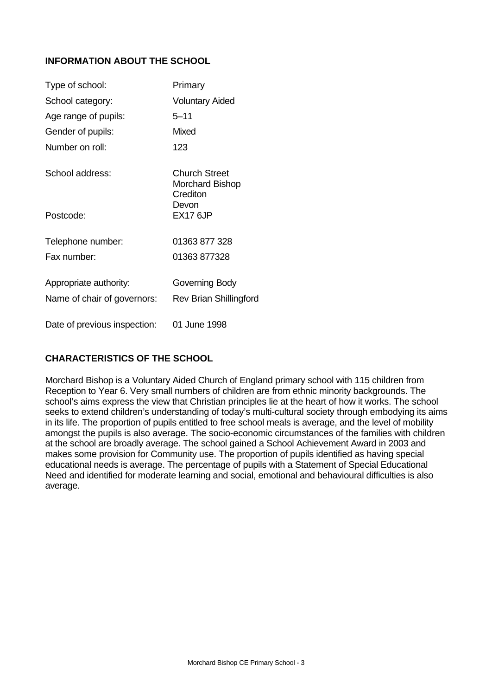# **INFORMATION ABOUT THE SCHOOL**

| Type of school:              | Primary                                               |
|------------------------------|-------------------------------------------------------|
| School category:             | <b>Voluntary Aided</b>                                |
| Age range of pupils:         | $5 - 11$                                              |
| Gender of pupils:            | Mixed                                                 |
| Number on roll:              | 123                                                   |
| School address:              | Church Street<br>Morchard Bishop<br>Crediton<br>Devon |
| Postcode:                    | <b>EX17 6JP</b>                                       |
| Telephone number:            | 01363 877 328                                         |
| Fax number:                  | 01363 877328                                          |
| Appropriate authority:       | Governing Body                                        |
| Name of chair of governors:  | <b>Rev Brian Shillingford</b>                         |
| Date of previous inspection: | 01 June 1998                                          |

# **CHARACTERISTICS OF THE SCHOOL**

Morchard Bishop is a Voluntary Aided Church of England primary school with 115 children from Reception to Year 6. Very small numbers of children are from ethnic minority backgrounds. The school's aims express the view that Christian principles lie at the heart of how it works. The school seeks to extend children's understanding of today's multi-cultural society through embodying its aims in its life. The proportion of pupils entitled to free school meals is average, and the level of mobility amongst the pupils is also average. The socio-economic circumstances of the families with children at the school are broadly average. The school gained a School Achievement Award in 2003 and makes some provision for Community use. The proportion of pupils identified as having special educational needs is average. The percentage of pupils with a Statement of Special Educational Need and identified for moderate learning and social, emotional and behavioural difficulties is also average.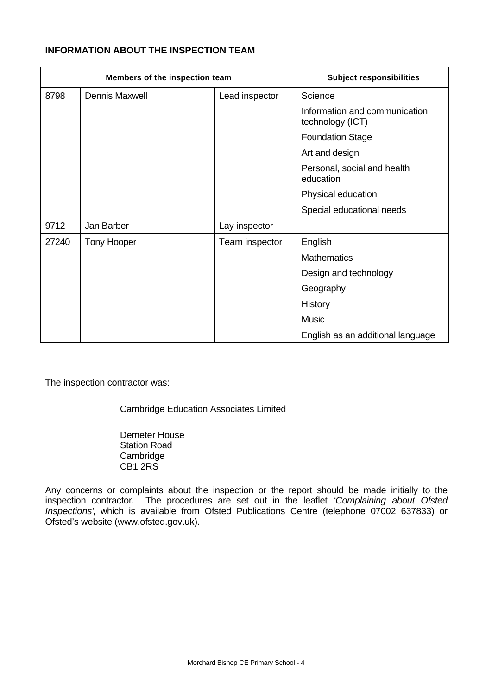# **INFORMATION ABOUT THE INSPECTION TEAM**

| Members of the inspection team |                       |                | <b>Subject responsibilities</b>                   |
|--------------------------------|-----------------------|----------------|---------------------------------------------------|
| 8798                           | <b>Dennis Maxwell</b> | Lead inspector | Science                                           |
|                                |                       |                | Information and communication<br>technology (ICT) |
|                                |                       |                | <b>Foundation Stage</b>                           |
|                                |                       |                | Art and design                                    |
|                                |                       |                | Personal, social and health<br>education          |
|                                |                       |                | Physical education                                |
|                                |                       |                | Special educational needs                         |
| 9712                           | Jan Barber            | Lay inspector  |                                                   |
| 27240                          | Tony Hooper           | Team inspector | English                                           |
|                                |                       |                | <b>Mathematics</b>                                |
|                                |                       |                | Design and technology                             |
|                                |                       |                | Geography                                         |
|                                |                       |                | History                                           |
|                                |                       |                | <b>Music</b>                                      |
|                                |                       |                | English as an additional language                 |

The inspection contractor was:

Cambridge Education Associates Limited

Demeter House Station Road **Cambridge** CB1 2RS

Any concerns or complaints about the inspection or the report should be made initially to the inspection contractor. The procedures are set out in the leaflet *'Complaining about Ofsted Inspections'*, which is available from Ofsted Publications Centre (telephone 07002 637833) or Ofsted's website (www.ofsted.gov.uk).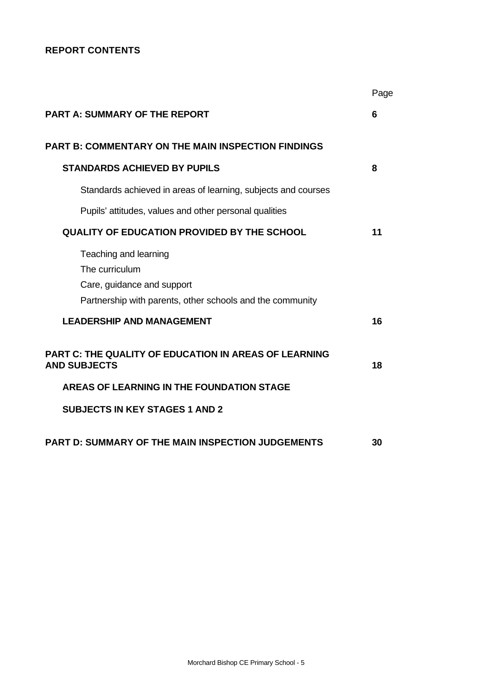# **REPORT CONTENTS**

|                                                                                                                                    | Page |
|------------------------------------------------------------------------------------------------------------------------------------|------|
| <b>PART A: SUMMARY OF THE REPORT</b>                                                                                               | 6    |
| <b>PART B: COMMENTARY ON THE MAIN INSPECTION FINDINGS</b>                                                                          |      |
| <b>STANDARDS ACHIEVED BY PUPILS</b>                                                                                                | 8    |
| Standards achieved in areas of learning, subjects and courses                                                                      |      |
| Pupils' attitudes, values and other personal qualities                                                                             |      |
| QUALITY OF EDUCATION PROVIDED BY THE SCHOOL                                                                                        | 11   |
| Teaching and learning<br>The curriculum<br>Care, guidance and support<br>Partnership with parents, other schools and the community |      |
| <b>LEADERSHIP AND MANAGEMENT</b>                                                                                                   | 16   |
| <b>PART C: THE QUALITY OF EDUCATION IN AREAS OF LEARNING</b><br><b>AND SUBJECTS</b>                                                | 18   |
| AREAS OF LEARNING IN THE FOUNDATION STAGE                                                                                          |      |
| <b>SUBJECTS IN KEY STAGES 1 AND 2</b>                                                                                              |      |
| <b>PART D: SUMMARY OF THE MAIN INSPECTION JUDGEMENTS</b>                                                                           | 30   |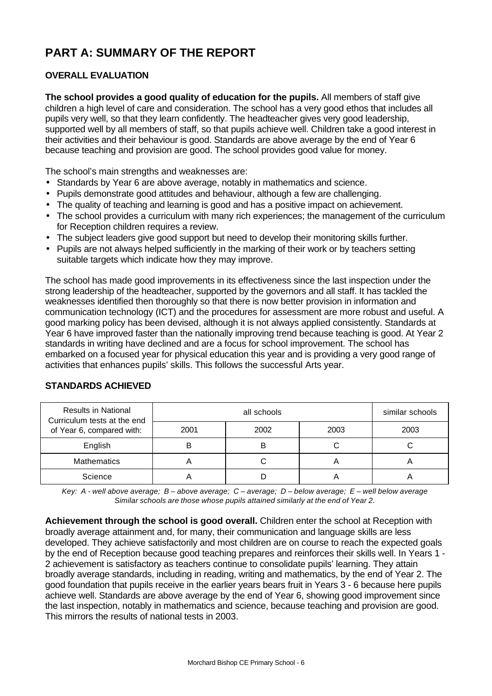# **PART A: SUMMARY OF THE REPORT**

# **OVERALL EVALUATION**

**The school provides a good quality of education for the pupils.** All members of staff give children a high level of care and consideration. The school has a very good ethos that includes all pupils very well, so that they learn confidently. The headteacher gives very good leadership, supported well by all members of staff, so that pupils achieve well. Children take a good interest in their activities and their behaviour is good. Standards are above average by the end of Year 6 because teaching and provision are good. The school provides good value for money.

The school's main strengths and weaknesses are:

- Standards by Year 6 are above average, notably in mathematics and science.
- Pupils demonstrate good attitudes and behaviour, although a few are challenging.
- The quality of teaching and learning is good and has a positive impact on achievement.
- The school provides a curriculum with many rich experiences; the management of the curriculum for Reception children requires a review.
- The subject leaders give good support but need to develop their monitoring skills further.
- Pupils are not always helped sufficiently in the marking of their work or by teachers setting suitable targets which indicate how they may improve.

The school has made good improvements in its effectiveness since the last inspection under the strong leadership of the headteacher, supported by the governors and all staff. It has tackled the weaknesses identified then thoroughly so that there is now better provision in information and communication technology (ICT) and the procedures for assessment are more robust and useful. A good marking policy has been devised, although it is not always applied consistently. Standards at Year 6 have improved faster than the nationally improving trend because teaching is good. At Year 2 standards in writing have declined and are a focus for school improvement. The school has embarked on a focused year for physical education this year and is providing a very good range of activities that enhances pupils' skills. This follows the successful Arts year.

| <b>Results in National</b><br>Curriculum tests at the end |      | similar schools |      |      |
|-----------------------------------------------------------|------|-----------------|------|------|
| of Year 6, compared with:                                 | 2001 | 2002            | 2003 | 2003 |
| English                                                   |      |                 |      |      |
| <b>Mathematics</b>                                        |      |                 |      |      |
| Science                                                   |      |                 |      |      |

# **STANDARDS ACHIEVED**

*Key: A - well above average; B – above average; C – average; D – below average; E – well below average Similar schools are those whose pupils attained similarly at the end of Year 2.*

**Achievement through the school is good overall.** Children enter the school at Reception with broadly average attainment and, for many, their communication and language skills are less developed. They achieve satisfactorily and most children are on course to reach the expected goals by the end of Reception because good teaching prepares and reinforces their skills well. In Years 1 - 2 achievement is satisfactory as teachers continue to consolidate pupils' learning. They attain broadly average standards, including in reading, writing and mathematics, by the end of Year 2. The good foundation that pupils receive in the earlier years bears fruit in Years 3 - 6 because here pupils achieve well. Standards are above average by the end of Year 6, showing good improvement since the last inspection, notably in mathematics and science, because teaching and provision are good. This mirrors the results of national tests in 2003.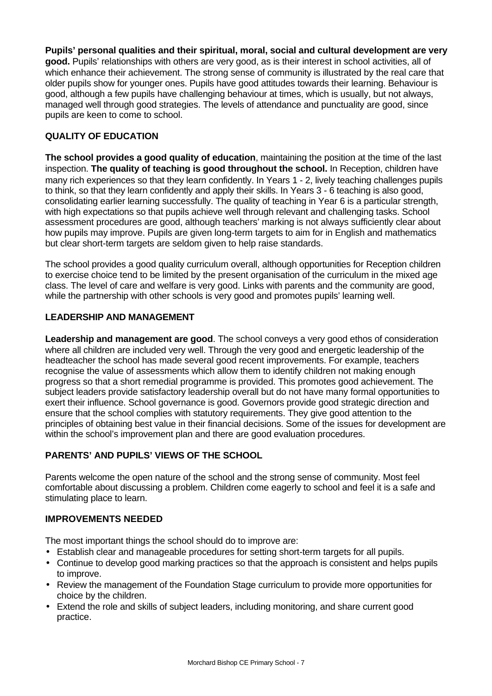**Pupils' personal qualities and their spiritual, moral, social and cultural development are very good.** Pupils' relationships with others are very good, as is their interest in school activities, all of which enhance their achievement. The strong sense of community is illustrated by the real care that older pupils show for younger ones. Pupils have good attitudes towards their learning. Behaviour is good, although a few pupils have challenging behaviour at times, which is usually, but not always, managed well through good strategies. The levels of attendance and punctuality are good, since pupils are keen to come to school.

# **QUALITY OF EDUCATION**

**The school provides a good quality of education**, maintaining the position at the time of the last inspection. **The quality of teaching is good throughout the school.** In Reception, children have many rich experiences so that they learn confidently. In Years 1 - 2, lively teaching challenges pupils to think, so that they learn confidently and apply their skills. In Years 3 - 6 teaching is also good, consolidating earlier learning successfully. The quality of teaching in Year 6 is a particular strength, with high expectations so that pupils achieve well through relevant and challenging tasks. School assessment procedures are good, although teachers' marking is not always sufficiently clear about how pupils may improve. Pupils are given long-term targets to aim for in English and mathematics but clear short-term targets are seldom given to help raise standards.

The school provides a good quality curriculum overall, although opportunities for Reception children to exercise choice tend to be limited by the present organisation of the curriculum in the mixed age class. The level of care and welfare is very good. Links with parents and the community are good, while the partnership with other schools is very good and promotes pupils' learning well.

# **LEADERSHIP AND MANAGEMENT**

**Leadership and management are good**. The school conveys a very good ethos of consideration where all children are included very well. Through the very good and energetic leadership of the headteacher the school has made several good recent improvements. For example, teachers recognise the value of assessments which allow them to identify children not making enough progress so that a short remedial programme is provided. This promotes good achievement. The subject leaders provide satisfactory leadership overall but do not have many formal opportunities to exert their influence. School governance is good. Governors provide good strategic direction and ensure that the school complies with statutory requirements. They give good attention to the principles of obtaining best value in their financial decisions. Some of the issues for development are within the school's improvement plan and there are good evaluation procedures.

# **PARENTS' AND PUPILS' VIEWS OF THE SCHOOL**

Parents welcome the open nature of the school and the strong sense of community. Most feel comfortable about discussing a problem. Children come eagerly to school and feel it is a safe and stimulating place to learn.

## **IMPROVEMENTS NEEDED**

The most important things the school should do to improve are:

- Establish clear and manageable procedures for setting short-term targets for all pupils.
- Continue to develop good marking practices so that the approach is consistent and helps pupils to improve.
- Review the management of the Foundation Stage curriculum to provide more opportunities for choice by the children.
- Extend the role and skills of subject leaders, including monitoring, and share current good practice.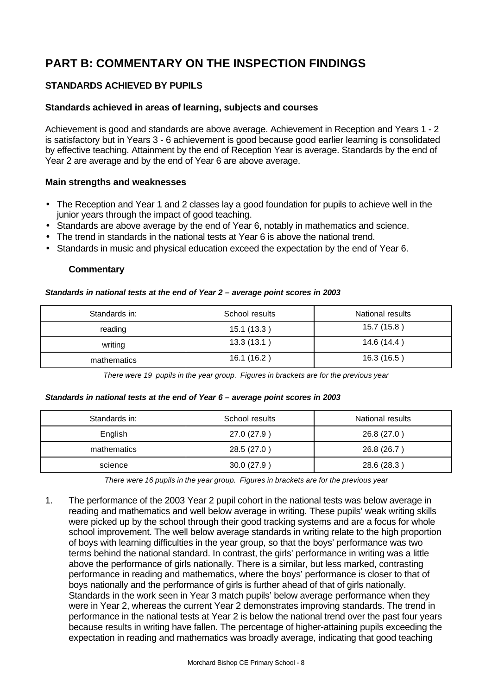# **PART B: COMMENTARY ON THE INSPECTION FINDINGS**

# **STANDARDS ACHIEVED BY PUPILS**

#### **Standards achieved in areas of learning, subjects and courses**

Achievement is good and standards are above average. Achievement in Reception and Years 1 - 2 is satisfactory but in Years 3 - 6 achievement is good because good earlier learning is consolidated by effective teaching. Attainment by the end of Reception Year is average. Standards by the end of Year 2 are average and by the end of Year 6 are above average.

#### **Main strengths and weaknesses**

- The Reception and Year 1 and 2 classes lay a good foundation for pupils to achieve well in the junior years through the impact of good teaching.
- Standards are above average by the end of Year 6, notably in mathematics and science.
- The trend in standards in the national tests at Year 6 is above the national trend.
- Standards in music and physical education exceed the expectation by the end of Year 6.

#### **Commentary**

#### *Standards in national tests at the end of Year 2 – average point scores in 2003*

| Standards in: | School results | National results |  |
|---------------|----------------|------------------|--|
| reading       | 15.1(13.3)     | 15.7(15.8)       |  |
| writing       | 13.3(13.1)     | 14.6 (14.4)      |  |
| mathematics   | 16.1 (16.2)    | 16.3(16.5)       |  |

*There were 19 pupils in the year group. Figures in brackets are for the previous year*

#### *Standards in national tests at the end of Year 6 – average point scores in 2003*

| Standards in: | School results | National results |  |
|---------------|----------------|------------------|--|
| English       | 27.0 (27.9)    | 26.8 (27.0)      |  |
| mathematics   | 28.5 (27.0)    | 26.8 (26.7)      |  |
| science       | 30.0(27.9)     | 28.6 (28.3)      |  |

*There were 16 pupils in the year group. Figures in brackets are for the previous year*

1. The performance of the 2003 Year 2 pupil cohort in the national tests was below average in reading and mathematics and well below average in writing. These pupils' weak writing skills were picked up by the school through their good tracking systems and are a focus for whole school improvement. The well below average standards in writing relate to the high proportion of boys with learning difficulties in the year group, so that the boys' performance was two terms behind the national standard. In contrast, the girls' performance in writing was a little above the performance of girls nationally. There is a similar, but less marked, contrasting performance in reading and mathematics, where the boys' performance is closer to that of boys nationally and the performance of girls is further ahead of that of girls nationally. Standards in the work seen in Year 3 match pupils' below average performance when they were in Year 2, whereas the current Year 2 demonstrates improving standards. The trend in performance in the national tests at Year 2 is below the national trend over the past four years because results in writing have fallen. The percentage of higher-attaining pupils exceeding the expectation in reading and mathematics was broadly average, indicating that good teaching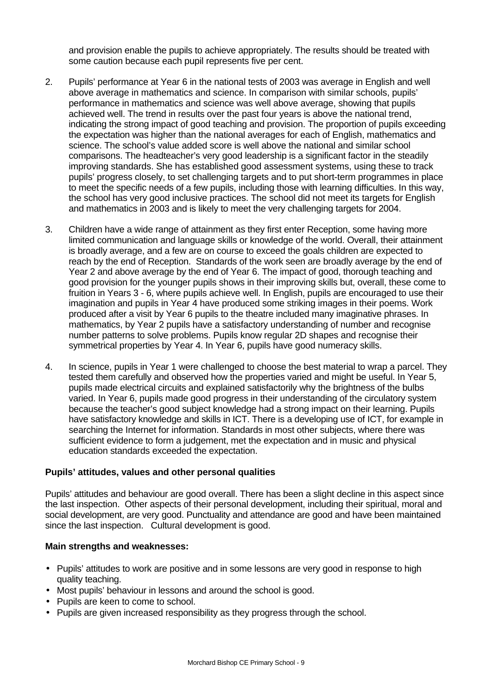and provision enable the pupils to achieve appropriately. The results should be treated with some caution because each pupil represents five per cent.

- 2. Pupils' performance at Year 6 in the national tests of 2003 was average in English and well above average in mathematics and science. In comparison with similar schools, pupils' performance in mathematics and science was well above average, showing that pupils achieved well. The trend in results over the past four years is above the national trend, indicating the strong impact of good teaching and provision. The proportion of pupils exceeding the expectation was higher than the national averages for each of English, mathematics and science. The school's value added score is well above the national and similar school comparisons. The headteacher's very good leadership is a significant factor in the steadily improving standards. She has established good assessment systems, using these to track pupils' progress closely, to set challenging targets and to put short-term programmes in place to meet the specific needs of a few pupils, including those with learning difficulties. In this way, the school has very good inclusive practices. The school did not meet its targets for English and mathematics in 2003 and is likely to meet the very challenging targets for 2004.
- 3. Children have a wide range of attainment as they first enter Reception, some having more limited communication and language skills or knowledge of the world. Overall, their attainment is broadly average, and a few are on course to exceed the goals children are expected to reach by the end of Reception. Standards of the work seen are broadly average by the end of Year 2 and above average by the end of Year 6. The impact of good, thorough teaching and good provision for the younger pupils shows in their improving skills but, overall, these come to fruition in Years 3 - 6, where pupils achieve well. In English, pupils are encouraged to use their imagination and pupils in Year 4 have produced some striking images in their poems. Work produced after a visit by Year 6 pupils to the theatre included many imaginative phrases. In mathematics, by Year 2 pupils have a satisfactory understanding of number and recognise number patterns to solve problems. Pupils know regular 2D shapes and recognise their symmetrical properties by Year 4. In Year 6, pupils have good numeracy skills.
- 4. In science, pupils in Year 1 were challenged to choose the best material to wrap a parcel. They tested them carefully and observed how the properties varied and might be useful. In Year 5, pupils made electrical circuits and explained satisfactorily why the brightness of the bulbs varied. In Year 6, pupils made good progress in their understanding of the circulatory system because the teacher's good subject knowledge had a strong impact on their learning. Pupils have satisfactory knowledge and skills in ICT. There is a developing use of ICT, for example in searching the Internet for information. Standards in most other subjects, where there was sufficient evidence to form a judgement, met the expectation and in music and physical education standards exceeded the expectation.

## **Pupils' attitudes, values and other personal qualities**

Pupils' attitudes and behaviour are good overall. There has been a slight decline in this aspect since the last inspection. Other aspects of their personal development, including their spiritual, moral and social development, are very good. Punctuality and attendance are good and have been maintained since the last inspection. Cultural development is good.

#### **Main strengths and weaknesses:**

- Pupils' attitudes to work are positive and in some lessons are very good in response to high quality teaching.
- Most pupils' behaviour in lessons and around the school is good.
- Pupils are keen to come to school.
- Pupils are given increased responsibility as they progress through the school.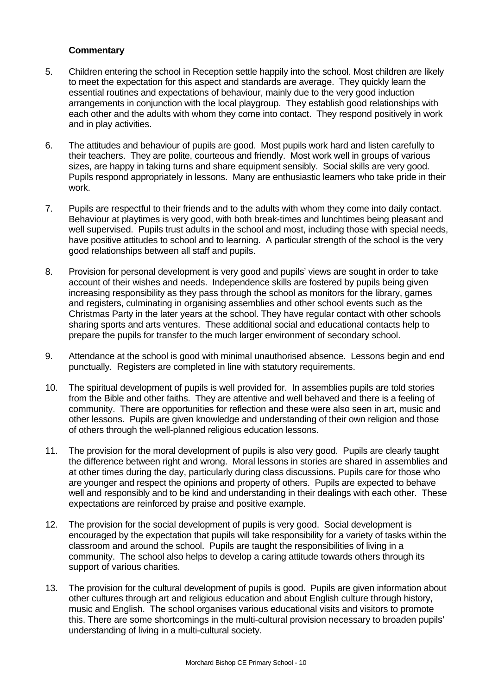- 5. Children entering the school in Reception settle happily into the school. Most children are likely to meet the expectation for this aspect and standards are average. They quickly learn the essential routines and expectations of behaviour, mainly due to the very good induction arrangements in conjunction with the local playgroup. They establish good relationships with each other and the adults with whom they come into contact. They respond positively in work and in play activities.
- 6. The attitudes and behaviour of pupils are good. Most pupils work hard and listen carefully to their teachers. They are polite, courteous and friendly. Most work well in groups of various sizes, are happy in taking turns and share equipment sensibly. Social skills are very good. Pupils respond appropriately in lessons. Many are enthusiastic learners who take pride in their work.
- 7. Pupils are respectful to their friends and to the adults with whom they come into daily contact. Behaviour at playtimes is very good, with both break-times and lunchtimes being pleasant and well supervised. Pupils trust adults in the school and most, including those with special needs, have positive attitudes to school and to learning. A particular strength of the school is the very good relationships between all staff and pupils.
- 8. Provision for personal development is very good and pupils' views are sought in order to take account of their wishes and needs. Independence skills are fostered by pupils being given increasing responsibility as they pass through the school as monitors for the library, games and registers, culminating in organising assemblies and other school events such as the Christmas Party in the later years at the school. They have regular contact with other schools sharing sports and arts ventures. These additional social and educational contacts help to prepare the pupils for transfer to the much larger environment of secondary school.
- 9. Attendance at the school is good with minimal unauthorised absence. Lessons begin and end punctually. Registers are completed in line with statutory requirements.
- 10. The spiritual development of pupils is well provided for. In assemblies pupils are told stories from the Bible and other faiths. They are attentive and well behaved and there is a feeling of community. There are opportunities for reflection and these were also seen in art, music and other lessons. Pupils are given knowledge and understanding of their own religion and those of others through the well-planned religious education lessons.
- 11. The provision for the moral development of pupils is also very good. Pupils are clearly taught the difference between right and wrong. Moral lessons in stories are shared in assemblies and at other times during the day, particularly during class discussions. Pupils care for those who are younger and respect the opinions and property of others. Pupils are expected to behave well and responsibly and to be kind and understanding in their dealings with each other. These expectations are reinforced by praise and positive example.
- 12. The provision for the social development of pupils is very good. Social development is encouraged by the expectation that pupils will take responsibility for a variety of tasks within the classroom and around the school. Pupils are taught the responsibilities of living in a community. The school also helps to develop a caring attitude towards others through its support of various charities.
- 13. The provision for the cultural development of pupils is good. Pupils are given information about other cultures through art and religious education and about English culture through history, music and English. The school organises various educational visits and visitors to promote this. There are some shortcomings in the multi-cultural provision necessary to broaden pupils' understanding of living in a multi-cultural society.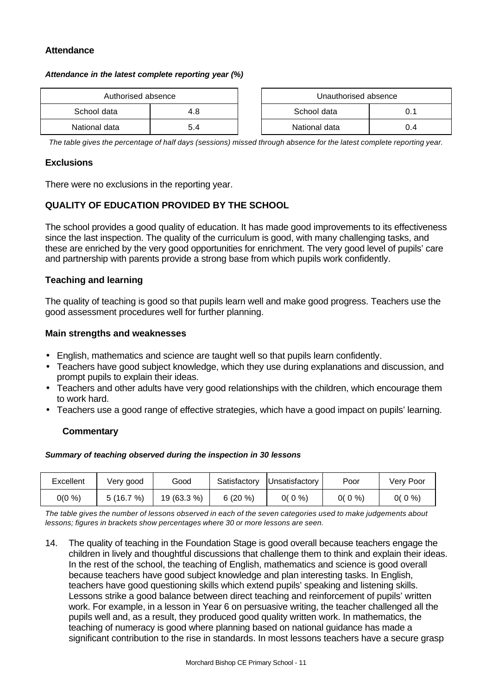# **Attendance**

#### *Attendance in the latest complete reporting year (%)*

| Authorised absence |     |  | Unauthorised absence |     |
|--------------------|-----|--|----------------------|-----|
| School data        | 4.8 |  | School data          |     |
| National data      | 5.4 |  | National data        | 0.4 |

| Authorised absence |     | Unauthorised absence |     |
|--------------------|-----|----------------------|-----|
| data               | 4.8 | School data<br>0.1   |     |
| data               | 5.4 | National data        | 0.4 |

*The table gives the percentage of half days (sessions) missed through absence for the latest complete reporting year.*

#### **Exclusions**

There were no exclusions in the reporting year.

# **QUALITY OF EDUCATION PROVIDED BY THE SCHOOL**

The school provides a good quality of education. It has made good improvements to its effectiveness since the last inspection. The quality of the curriculum is good, with many challenging tasks, and these are enriched by the very good opportunities for enrichment. The very good level of pupils' care and partnership with parents provide a strong base from which pupils work confidently.

#### **Teaching and learning**

The quality of teaching is good so that pupils learn well and make good progress. Teachers use the good assessment procedures well for further planning.

#### **Main strengths and weaknesses**

- English, mathematics and science are taught well so that pupils learn confidently.
- Teachers have good subject knowledge, which they use during explanations and discussion, and prompt pupils to explain their ideas.
- Teachers and other adults have very good relationships with the children, which encourage them to work hard.
- Teachers use a good range of effective strategies, which have a good impact on pupils' learning.

## **Commentary**

#### *Summary of teaching observed during the inspection in 30 lessons*

| Excellent | Verv good | Good        | Satisfactory | <b>IUnsatisfactory</b> | Poor     | Very Poor |
|-----------|-----------|-------------|--------------|------------------------|----------|-----------|
| 0(0 %)    | (16.7%)   | 19 (63.3 %) | $6(20\%)$    | $0(0\%)$               | $0(0\%)$ | 0( 0 %)   |

*The table gives the number of lessons observed in each of the seven categories used to make judgements about lessons; figures in brackets show percentages where 30 or more lessons are seen.*

14. The quality of teaching in the Foundation Stage is good overall because teachers engage the children in lively and thoughtful discussions that challenge them to think and explain their ideas. In the rest of the school, the teaching of English, mathematics and science is good overall because teachers have good subject knowledge and plan interesting tasks. In English, teachers have good questioning skills which extend pupils' speaking and listening skills. Lessons strike a good balance between direct teaching and reinforcement of pupils' written work. For example, in a lesson in Year 6 on persuasive writing, the teacher challenged all the pupils well and, as a result, they produced good quality written work. In mathematics, the teaching of numeracy is good where planning based on national guidance has made a significant contribution to the rise in standards. In most lessons teachers have a secure grasp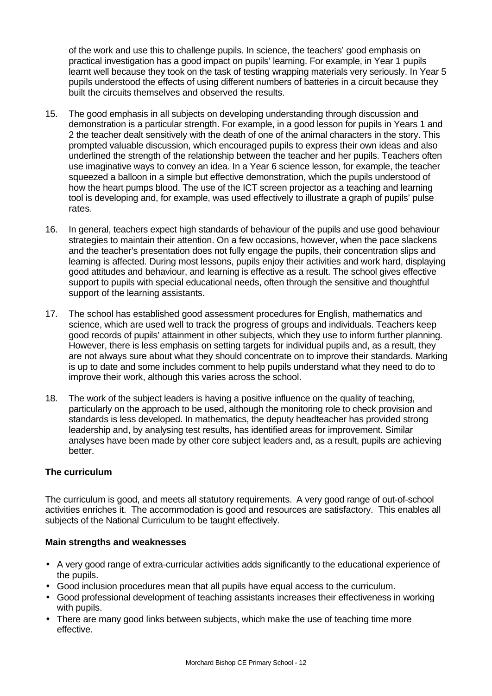of the work and use this to challenge pupils. In science, the teachers' good emphasis on practical investigation has a good impact on pupils' learning. For example, in Year 1 pupils learnt well because they took on the task of testing wrapping materials very seriously. In Year 5 pupils understood the effects of using different numbers of batteries in a circuit because they built the circuits themselves and observed the results.

- 15. The good emphasis in all subjects on developing understanding through discussion and demonstration is a particular strength. For example, in a good lesson for pupils in Years 1 and 2 the teacher dealt sensitively with the death of one of the animal characters in the story. This prompted valuable discussion, which encouraged pupils to express their own ideas and also underlined the strength of the relationship between the teacher and her pupils. Teachers often use imaginative ways to convey an idea. In a Year 6 science lesson, for example, the teacher squeezed a balloon in a simple but effective demonstration, which the pupils understood of how the heart pumps blood. The use of the ICT screen projector as a teaching and learning tool is developing and, for example, was used effectively to illustrate a graph of pupils' pulse rates.
- 16. In general, teachers expect high standards of behaviour of the pupils and use good behaviour strategies to maintain their attention. On a few occasions, however, when the pace slackens and the teacher's presentation does not fully engage the pupils, their concentration slips and learning is affected. During most lessons, pupils enjoy their activities and work hard, displaying good attitudes and behaviour, and learning is effective as a result. The school gives effective support to pupils with special educational needs, often through the sensitive and thoughtful support of the learning assistants.
- 17. The school has established good assessment procedures for English, mathematics and science, which are used well to track the progress of groups and individuals. Teachers keep good records of pupils' attainment in other subjects, which they use to inform further planning. However, there is less emphasis on setting targets for individual pupils and, as a result, they are not always sure about what they should concentrate on to improve their standards. Marking is up to date and some includes comment to help pupils understand what they need to do to improve their work, although this varies across the school.
- 18. The work of the subject leaders is having a positive influence on the quality of teaching, particularly on the approach to be used, although the monitoring role to check provision and standards is less developed. In mathematics, the deputy headteacher has provided strong leadership and, by analysing test results, has identified areas for improvement. Similar analyses have been made by other core subject leaders and, as a result, pupils are achieving better.

## **The curriculum**

The curriculum is good, and meets all statutory requirements.A very good range of out-of-school activities enriches it.The accommodation is good and resources are satisfactory. This enables all subjects of the National Curriculum to be taught effectively.

## **Main strengths and weaknesses**

- A very good range of extra-curricular activities adds significantly to the educational experience of the pupils.
- Good inclusion procedures mean that all pupils have equal access to the curriculum.
- Good professional development of teaching assistants increases their effectiveness in working with pupils.
- There are many good links between subjects, which make the use of teaching time more effective.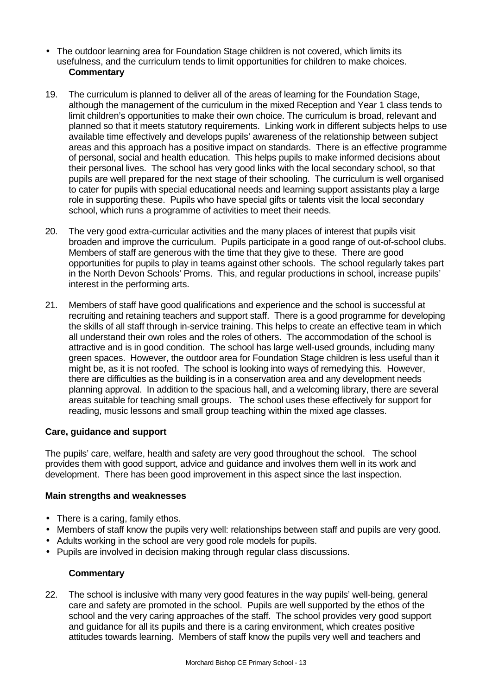- The outdoor learning area for Foundation Stage children is not covered, which limits its usefulness, and the curriculum tends to limit opportunities for children to make choices. **Commentary**
- 19. The curriculum is planned to deliver all of the areas of learning for the Foundation Stage, although the management of the curriculum in the mixed Reception and Year 1 class tends to limit children's opportunities to make their own choice. The curriculum is broad, relevant and planned so that it meets statutory requirements. Linking work in different subjects helps to use available time effectively and develops pupils' awareness of the relationship between subject areas and this approach has a positive impact on standards. There is an effective programme of personal, social and health education. This helps pupils to make informed decisions about their personal lives. The school has very good links with the local secondary school, so that pupils are well prepared for the next stage of their schooling. The curriculum is well organised to cater for pupils with special educational needs and learning support assistants play a large role in supporting these. Pupils who have special gifts or talents visit the local secondary school, which runs a programme of activities to meet their needs.
- 20. The very good extra-curricular activities and the many places of interest that pupils visit broaden and improve the curriculum. Pupils participate in a good range of out-of-school clubs. Members of staff are generous with the time that they give to these. There are good opportunities for pupils to play in teams against other schools. The school regularly takes part in the North Devon Schools' Proms. This, and regular productions in school, increase pupils' interest in the performing arts.
- 21. Members of staff have good qualifications and experience and the school is successful at recruiting and retaining teachers and support staff. There is a good programme for developing the skills of all staff through in-service training. This helps to create an effective team in which all understand their own roles and the roles of others. The accommodation of the school is attractive and is in good condition. The school has large well-used grounds, including many green spaces. However, the outdoor area for Foundation Stage children is less useful than it might be, as it is not roofed. The school is looking into ways of remedying this. However, there are difficulties as the building is in a conservation area and any development needs planning approval. In addition to the spacious hall, and a welcoming library, there are several areas suitable for teaching small groups. The school uses these effectively for support for reading, music lessons and small group teaching within the mixed age classes.

## **Care, guidance and support**

The pupils' care, welfare, health and safety are very good throughout the school. The school provides them with good support, advice and guidance and involves them well in its work and development. There has been good improvement in this aspect since the last inspection.

## **Main strengths and weaknesses**

- There is a caring, family ethos.
- Members of staff know the pupils very well: relationships between staff and pupils are very good.
- Adults working in the school are very good role models for pupils.
- Pupils are involved in decision making through regular class discussions.

# **Commentary**

22. The school is inclusive with many very good features in the way pupils' well-being, general care and safety are promoted in the school. Pupils are well supported by the ethos of the school and the very caring approaches of the staff. The school provides very good support and guidance for all its pupils and there is a caring environment, which creates positive attitudes towards learning. Members of staff know the pupils very well and teachers and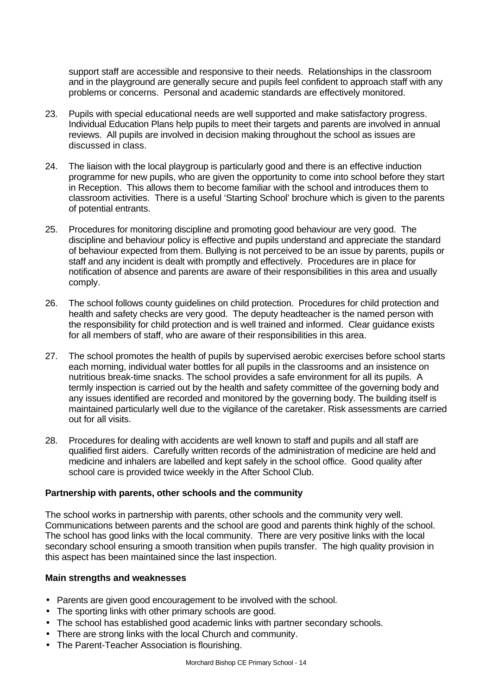support staff are accessible and responsive to their needs. Relationships in the classroom and in the playground are generally secure and pupils feel confident to approach staff with any problems or concerns. Personal and academic standards are effectively monitored.

- 23. Pupils with special educational needs are well supported and make satisfactory progress. Individual Education Plans help pupils to meet their targets and parents are involved in annual reviews. All pupils are involved in decision making throughout the school as issues are discussed in class.
- 24. The liaison with the local playgroup is particularly good and there is an effective induction programme for new pupils, who are given the opportunity to come into school before they start in Reception. This allows them to become familiar with the school and introduces them to classroom activities. There is a useful 'Starting School' brochure which is given to the parents of potential entrants.
- 25. Procedures for monitoring discipline and promoting good behaviour are very good. The discipline and behaviour policy is effective and pupils understand and appreciate the standard of behaviour expected from them. Bullying is not perceived to be an issue by parents, pupils or staff and any incident is dealt with promptly and effectively. Procedures are in place for notification of absence and parents are aware of their responsibilities in this area and usually comply.
- 26. The school follows county guidelines on child protection. Procedures for child protection and health and safety checks are very good. The deputy headteacher is the named person with the responsibility for child protection and is well trained and informed. Clear guidance exists for all members of staff, who are aware of their responsibilities in this area.
- 27. The school promotes the health of pupils by supervised aerobic exercises before school starts each morning, individual water bottles for all pupils in the classrooms and an insistence on nutritious break-time snacks. The school provides a safe environment for all its pupils. A termly inspection is carried out by the health and safety committee of the governing body and any issues identified are recorded and monitored by the governing body. The building itself is maintained particularly well due to the vigilance of the caretaker. Risk assessments are carried out for all visits.
- 28. Procedures for dealing with accidents are well known to staff and pupils and all staff are qualified first aiders. Carefully written records of the administration of medicine are held and medicine and inhalers are labelled and kept safely in the school office. Good quality after school care is provided twice weekly in the After School Club.

## **Partnership with parents, other schools and the community**

The school works in partnership with parents, other schools and the community very well. Communications between parents and the school are good and parents think highly of the school. The school has good links with the local community. There are very positive links with the local secondary school ensuring a smooth transition when pupils transfer. The high quality provision in this aspect has been maintained since the last inspection.

## **Main strengths and weaknesses**

- Parents are given good encouragement to be involved with the school.
- The sporting links with other primary schools are good.
- The school has established good academic links with partner secondary schools.
- There are strong links with the local Church and community.
- The Parent-Teacher Association is flourishing.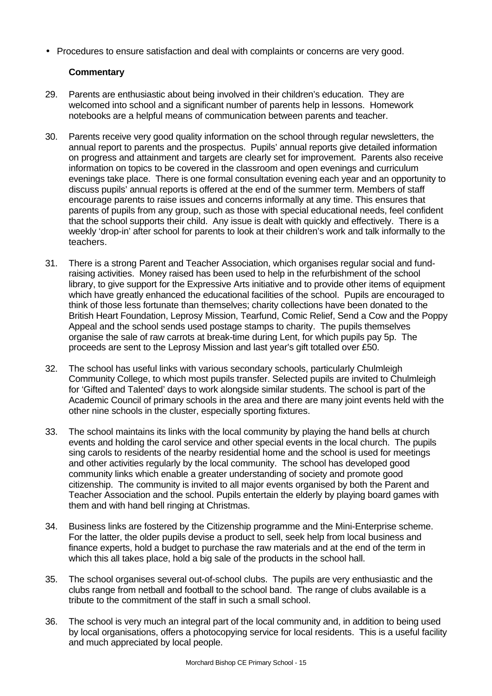• Procedures to ensure satisfaction and deal with complaints or concerns are very good.

- 29. Parents are enthusiastic about being involved in their children's education. They are welcomed into school and a significant number of parents help in lessons. Homework notebooks are a helpful means of communication between parents and teacher.
- 30. Parents receive very good quality information on the school through regular newsletters, the annual report to parents and the prospectus. Pupils' annual reports give detailed information on progress and attainment and targets are clearly set for improvement. Parents also receive information on topics to be covered in the classroom and open evenings and curriculum evenings take place. There is one formal consultation evening each year and an opportunity to discuss pupils' annual reports is offered at the end of the summer term. Members of staff encourage parents to raise issues and concerns informally at any time. This ensures that parents of pupils from any group, such as those with special educational needs, feel confident that the school supports their child. Any issue is dealt with quickly and effectively. There is a weekly 'drop-in' after school for parents to look at their children's work and talk informally to the teachers.
- 31. There is a strong Parent and Teacher Association, which organises regular social and fundraising activities. Money raised has been used to help in the refurbishment of the school library, to give support for the Expressive Arts initiative and to provide other items of equipment which have greatly enhanced the educational facilities of the school. Pupils are encouraged to think of those less fortunate than themselves; charity collections have been donated to the British Heart Foundation, Leprosy Mission, Tearfund, Comic Relief, Send a Cow and the Poppy Appeal and the school sends used postage stamps to charity. The pupils themselves organise the sale of raw carrots at break-time during Lent, for which pupils pay 5p. The proceeds are sent to the Leprosy Mission and last year's gift totalled over £50.
- 32. The school has useful links with various secondary schools, particularly Chulmleigh Community College, to which most pupils transfer. Selected pupils are invited to Chulmleigh for 'Gifted and Talented' days to work alongside similar students. The school is part of the Academic Council of primary schools in the area and there are many joint events held with the other nine schools in the cluster, especially sporting fixtures.
- 33. The school maintains its links with the local community by playing the hand bells at church events and holding the carol service and other special events in the local church. The pupils sing carols to residents of the nearby residential home and the school is used for meetings and other activities regularly by the local community. The school has developed good community links which enable a greater understanding of society and promote good citizenship. The community is invited to all major events organised by both the Parent and Teacher Association and the school. Pupils entertain the elderly by playing board games with them and with hand bell ringing at Christmas.
- 34. Business links are fostered by the Citizenship programme and the Mini-Enterprise scheme. For the latter, the older pupils devise a product to sell, seek help from local business and finance experts, hold a budget to purchase the raw materials and at the end of the term in which this all takes place, hold a big sale of the products in the school hall.
- 35. The school organises several out-of-school clubs. The pupils are very enthusiastic and the clubs range from netball and football to the school band. The range of clubs available is a tribute to the commitment of the staff in such a small school.
- 36. The school is very much an integral part of the local community and, in addition to being used by local organisations, offers a photocopying service for local residents. This is a useful facility and much appreciated by local people.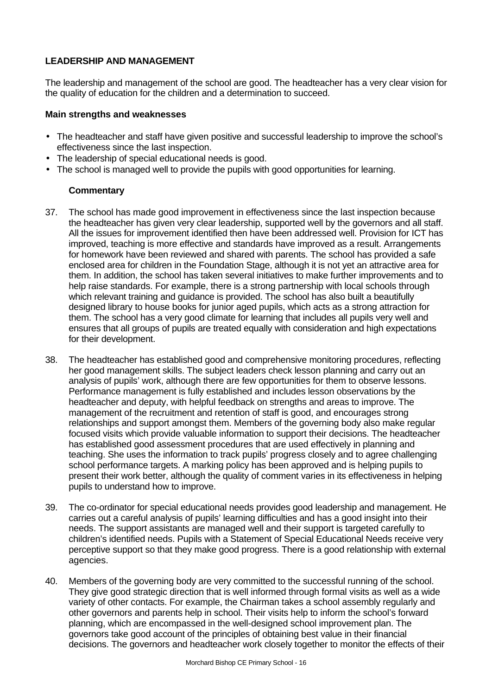# **LEADERSHIP AND MANAGEMENT**

The leadership and management of the school are good. The headteacher has a very clear vision for the quality of education for the children and a determination to succeed.

## **Main strengths and weaknesses**

- The headteacher and staff have given positive and successful leadership to improve the school's effectiveness since the last inspection.
- The leadership of special educational needs is good.
- The school is managed well to provide the pupils with good opportunities for learning.

- 37. The school has made good improvement in effectiveness since the last inspection because the headteacher has given very clear leadership, supported well by the governors and all staff. All the issues for improvement identified then have been addressed well. Provision for ICT has improved, teaching is more effective and standards have improved as a result. Arrangements for homework have been reviewed and shared with parents. The school has provided a safe enclosed area for children in the Foundation Stage, although it is not yet an attractive area for them. In addition, the school has taken several initiatives to make further improvements and to help raise standards. For example, there is a strong partnership with local schools through which relevant training and guidance is provided. The school has also built a beautifully designed library to house books for junior aged pupils, which acts as a strong attraction for them. The school has a very good climate for learning that includes all pupils very well and ensures that all groups of pupils are treated equally with consideration and high expectations for their development.
- 38. The headteacher has established good and comprehensive monitoring procedures, reflecting her good management skills. The subject leaders check lesson planning and carry out an analysis of pupils' work, although there are few opportunities for them to observe lessons. Performance management is fully established and includes lesson observations by the headteacher and deputy, with helpful feedback on strengths and areas to improve. The management of the recruitment and retention of staff is good, and encourages strong relationships and support amongst them. Members of the governing body also make regular focused visits which provide valuable information to support their decisions. The headteacher has established good assessment procedures that are used effectively in planning and teaching. She uses the information to track pupils' progress closely and to agree challenging school performance targets. A marking policy has been approved and is helping pupils to present their work better, although the quality of comment varies in its effectiveness in helping pupils to understand how to improve.
- 39. The co-ordinator for special educational needs provides good leadership and management. He carries out a careful analysis of pupils' learning difficulties and has a good insight into their needs. The support assistants are managed well and their support is targeted carefully to children's identified needs. Pupils with a Statement of Special Educational Needs receive very perceptive support so that they make good progress. There is a good relationship with external agencies.
- 40. Members of the governing body are very committed to the successful running of the school. They give good strategic direction that is well informed through formal visits as well as a wide variety of other contacts. For example, the Chairman takes a school assembly regularly and other governors and parents help in school. Their visits help to inform the school's forward planning, which are encompassed in the well-designed school improvement plan. The governors take good account of the principles of obtaining best value in their financial decisions. The governors and headteacher work closely together to monitor the effects of their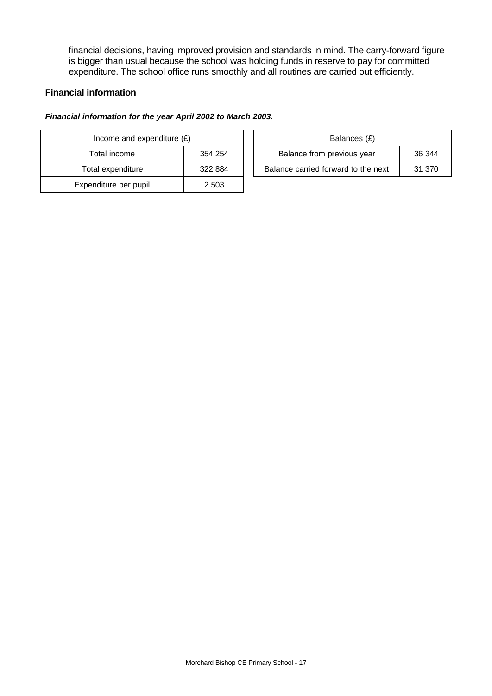financial decisions, having improved provision and standards in mind. The carry-forward figure is bigger than usual because the school was holding funds in reserve to pay for committed expenditure. The school office runs smoothly and all routines are carried out efficiently.

## **Financial information**

#### *Financial information for the year April 2002 to March 2003.*

| Income and expenditure $(E)$ |         |  | Balances (£)                     |
|------------------------------|---------|--|----------------------------------|
| Total income                 | 354 254 |  | Balance from previous year       |
| Total expenditure            | 322 884 |  | Balance carried forward to the r |
| Expenditure per pupil        | 2 5 0 3 |  |                                  |

| Income and expenditure $(E)$ |         | Balances (£)                        |        |
|------------------------------|---------|-------------------------------------|--------|
| Total income                 | 354 254 | Balance from previous year          | 36 344 |
| Total expenditure            | 322 884 | Balance carried forward to the next | 31 370 |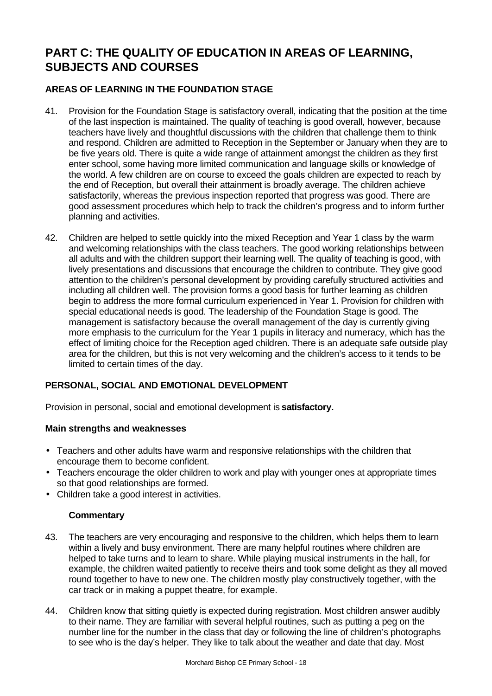# **PART C: THE QUALITY OF EDUCATION IN AREAS OF LEARNING, SUBJECTS AND COURSES**

# **AREAS OF LEARNING IN THE FOUNDATION STAGE**

- 41. Provision for the Foundation Stage is satisfactory overall, indicating that the position at the time of the last inspection is maintained. The quality of teaching is good overall, however, because teachers have lively and thoughtful discussions with the children that challenge them to think and respond. Children are admitted to Reception in the September or January when they are to be five years old. There is quite a wide range of attainment amongst the children as they first enter school, some having more limited communication and language skills or knowledge of the world. A few children are on course to exceed the goals children are expected to reach by the end of Reception, but overall their attainment is broadly average. The children achieve satisfactorily, whereas the previous inspection reported that progress was good. There are good assessment procedures which help to track the children's progress and to inform further planning and activities.
- 42. Children are helped to settle quickly into the mixed Reception and Year 1 class by the warm and welcoming relationships with the class teachers. The good working relationships between all adults and with the children support their learning well. The quality of teaching is good, with lively presentations and discussions that encourage the children to contribute. They give good attention to the children's personal development by providing carefully structured activities and including all children well. The provision forms a good basis for further learning as children begin to address the more formal curriculum experienced in Year 1. Provision for children with special educational needs is good. The leadership of the Foundation Stage is good. The management is satisfactory because the overall management of the day is currently giving more emphasis to the curriculum for the Year 1 pupils in literacy and numeracy, which has the effect of limiting choice for the Reception aged children. There is an adequate safe outside play area for the children, but this is not very welcoming and the children's access to it tends to be limited to certain times of the day.

# **PERSONAL, SOCIAL AND EMOTIONAL DEVELOPMENT**

Provision in personal, social and emotional development is **satisfactory.**

## **Main strengths and weaknesses**

- Teachers and other adults have warm and responsive relationships with the children that encourage them to become confident.
- Teachers encourage the older children to work and play with younger ones at appropriate times so that good relationships are formed.
- Children take a good interest in activities.

- 43. The teachers are very encouraging and responsive to the children, which helps them to learn within a lively and busy environment. There are many helpful routines where children are helped to take turns and to learn to share. While playing musical instruments in the hall, for example, the children waited patiently to receive theirs and took some delight as they all moved round together to have to new one. The children mostly play constructively together, with the car track or in making a puppet theatre, for example.
- 44. Children know that sitting quietly is expected during registration. Most children answer audibly to their name. They are familiar with several helpful routines, such as putting a peg on the number line for the number in the class that day or following the line of children's photographs to see who is the day's helper. They like to talk about the weather and date that day. Most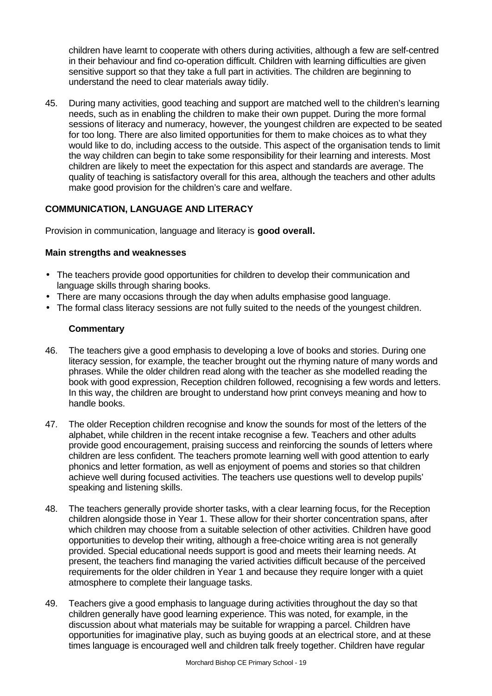children have learnt to cooperate with others during activities, although a few are self-centred in their behaviour and find co-operation difficult. Children with learning difficulties are given sensitive support so that they take a full part in activities. The children are beginning to understand the need to clear materials away tidily.

45. During many activities, good teaching and support are matched well to the children's learning needs, such as in enabling the children to make their own puppet. During the more formal sessions of literacy and numeracy, however, the youngest children are expected to be seated for too long. There are also limited opportunities for them to make choices as to what they would like to do, including access to the outside. This aspect of the organisation tends to limit the way children can begin to take some responsibility for their learning and interests. Most children are likely to meet the expectation for this aspect and standards are average. The quality of teaching is satisfactory overall for this area, although the teachers and other adults make good provision for the children's care and welfare.

# **COMMUNICATION, LANGUAGE AND LITERACY**

Provision in communication, language and literacy is **good overall.**

## **Main strengths and weaknesses**

- The teachers provide good opportunities for children to develop their communication and language skills through sharing books.
- There are many occasions through the day when adults emphasise good language.
- The formal class literacy sessions are not fully suited to the needs of the youngest children.

- 46. The teachers give a good emphasis to developing a love of books and stories. During one literacy session, for example, the teacher brought out the rhyming nature of many words and phrases. While the older children read along with the teacher as she modelled reading the book with good expression, Reception children followed, recognising a few words and letters. In this way, the children are brought to understand how print conveys meaning and how to handle books.
- 47. The older Reception children recognise and know the sounds for most of the letters of the alphabet, while children in the recent intake recognise a few. Teachers and other adults provide good encouragement, praising success and reinforcing the sounds of letters where children are less confident. The teachers promote learning well with good attention to early phonics and letter formation, as well as enjoyment of poems and stories so that children achieve well during focused activities. The teachers use questions well to develop pupils' speaking and listening skills.
- 48. The teachers generally provide shorter tasks, with a clear learning focus, for the Reception children alongside those in Year 1. These allow for their shorter concentration spans, after which children may choose from a suitable selection of other activities. Children have good opportunities to develop their writing, although a free-choice writing area is not generally provided. Special educational needs support is good and meets their learning needs. At present, the teachers find managing the varied activities difficult because of the perceived requirements for the older children in Year 1 and because they require longer with a quiet atmosphere to complete their language tasks.
- 49. Teachers give a good emphasis to language during activities throughout the day so that children generally have good learning experience. This was noted, for example, in the discussion about what materials may be suitable for wrapping a parcel. Children have opportunities for imaginative play, such as buying goods at an electrical store, and at these times language is encouraged well and children talk freely together. Children have regular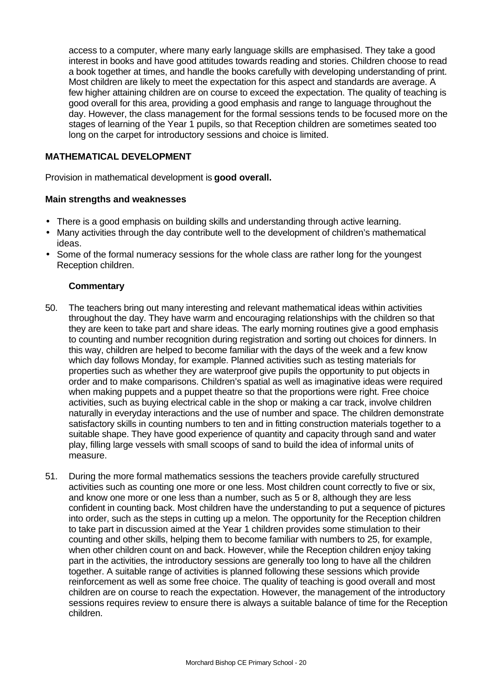access to a computer, where many early language skills are emphasised. They take a good interest in books and have good attitudes towards reading and stories. Children choose to read a book together at times, and handle the books carefully with developing understanding of print. Most children are likely to meet the expectation for this aspect and standards are average. A few higher attaining children are on course to exceed the expectation. The quality of teaching is good overall for this area, providing a good emphasis and range to language throughout the day. However, the class management for the formal sessions tends to be focused more on the stages of learning of the Year 1 pupils, so that Reception children are sometimes seated too long on the carpet for introductory sessions and choice is limited.

# **MATHEMATICAL DEVELOPMENT**

Provision in mathematical development is **good overall.**

## **Main strengths and weaknesses**

- There is a good emphasis on building skills and understanding through active learning.
- Many activities through the day contribute well to the development of children's mathematical ideas.
- Some of the formal numeracy sessions for the whole class are rather long for the youngest Reception children.

- 50. The teachers bring out many interesting and relevant mathematical ideas within activities throughout the day. They have warm and encouraging relationships with the children so that they are keen to take part and share ideas. The early morning routines give a good emphasis to counting and number recognition during registration and sorting out choices for dinners. In this way, children are helped to become familiar with the days of the week and a few know which day follows Monday, for example. Planned activities such as testing materials for properties such as whether they are waterproof give pupils the opportunity to put objects in order and to make comparisons. Children's spatial as well as imaginative ideas were required when making puppets and a puppet theatre so that the proportions were right. Free choice activities, such as buying electrical cable in the shop or making a car track, involve children naturally in everyday interactions and the use of number and space. The children demonstrate satisfactory skills in counting numbers to ten and in fitting construction materials together to a suitable shape. They have good experience of quantity and capacity through sand and water play, filling large vessels with small scoops of sand to build the idea of informal units of measure.
- 51. During the more formal mathematics sessions the teachers provide carefully structured activities such as counting one more or one less. Most children count correctly to five or six, and know one more or one less than a number, such as 5 or 8, although they are less confident in counting back. Most children have the understanding to put a sequence of pictures into order, such as the steps in cutting up a melon. The opportunity for the Reception children to take part in discussion aimed at the Year 1 children provides some stimulation to their counting and other skills, helping them to become familiar with numbers to 25, for example, when other children count on and back. However, while the Reception children enjoy taking part in the activities, the introductory sessions are generally too long to have all the children together. A suitable range of activities is planned following these sessions which provide reinforcement as well as some free choice. The quality of teaching is good overall and most children are on course to reach the expectation. However, the management of the introductory sessions requires review to ensure there is always a suitable balance of time for the Reception children.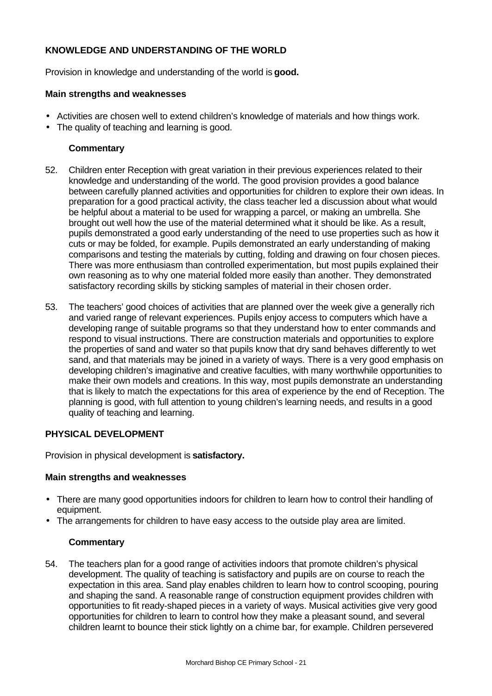# **KNOWLEDGE AND UNDERSTANDING OF THE WORLD**

Provision in knowledge and understanding of the world is **good.**

#### **Main strengths and weaknesses**

- Activities are chosen well to extend children's knowledge of materials and how things work.
- The quality of teaching and learning is good.

## **Commentary**

- 52. Children enter Reception with great variation in their previous experiences related to their knowledge and understanding of the world. The good provision provides a good balance between carefully planned activities and opportunities for children to explore their own ideas. In preparation for a good practical activity, the class teacher led a discussion about what would be helpful about a material to be used for wrapping a parcel, or making an umbrella. She brought out well how the use of the material determined what it should be like. As a result, pupils demonstrated a good early understanding of the need to use properties such as how it cuts or may be folded, for example. Pupils demonstrated an early understanding of making comparisons and testing the materials by cutting, folding and drawing on four chosen pieces. There was more enthusiasm than controlled experimentation, but most pupils explained their own reasoning as to why one material folded more easily than another. They demonstrated satisfactory recording skills by sticking samples of material in their chosen order.
- 53. The teachers' good choices of activities that are planned over the week give a generally rich and varied range of relevant experiences. Pupils enjoy access to computers which have a developing range of suitable programs so that they understand how to enter commands and respond to visual instructions. There are construction materials and opportunities to explore the properties of sand and water so that pupils know that dry sand behaves differently to wet sand, and that materials may be joined in a variety of ways. There is a very good emphasis on developing children's imaginative and creative faculties, with many worthwhile opportunities to make their own models and creations. In this way, most pupils demonstrate an understanding that is likely to match the expectations for this area of experience by the end of Reception. The planning is good, with full attention to young children's learning needs, and results in a good quality of teaching and learning.

## **PHYSICAL DEVELOPMENT**

Provision in physical development is **satisfactory.**

#### **Main strengths and weaknesses**

- There are many good opportunities indoors for children to learn how to control their handling of equipment.
- The arrangements for children to have easy access to the outside play area are limited.

## **Commentary**

54. The teachers plan for a good range of activities indoors that promote children's physical development. The quality of teaching is satisfactory and pupils are on course to reach the expectation in this area. Sand play enables children to learn how to control scooping, pouring and shaping the sand. A reasonable range of construction equipment provides children with opportunities to fit ready-shaped pieces in a variety of ways. Musical activities give very good opportunities for children to learn to control how they make a pleasant sound, and several children learnt to bounce their stick lightly on a chime bar, for example. Children persevered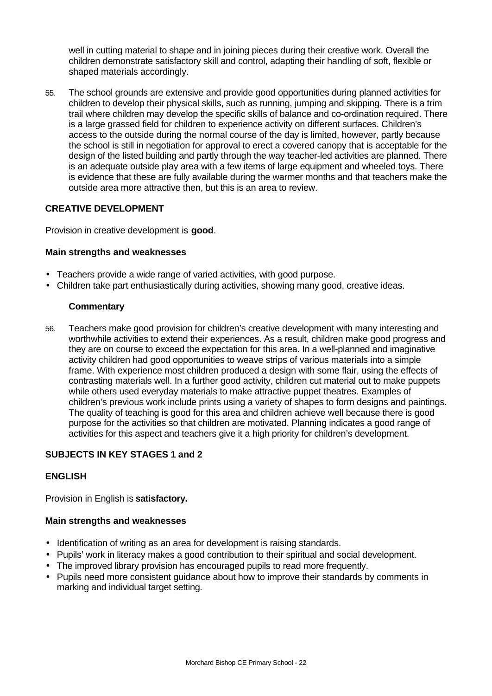well in cutting material to shape and in joining pieces during their creative work. Overall the children demonstrate satisfactory skill and control, adapting their handling of soft, flexible or shaped materials accordingly.

55. The school grounds are extensive and provide good opportunities during planned activities for children to develop their physical skills, such as running, jumping and skipping. There is a trim trail where children may develop the specific skills of balance and co-ordination required. There is a large grassed field for children to experience activity on different surfaces. Children's access to the outside during the normal course of the day is limited, however, partly because the school is still in negotiation for approval to erect a covered canopy that is acceptable for the design of the listed building and partly through the way teacher-led activities are planned. There is an adequate outside play area with a few items of large equipment and wheeled toys. There is evidence that these are fully available during the warmer months and that teachers make the outside area more attractive then, but this is an area to review.

# **CREATIVE DEVELOPMENT**

Provision in creative development is **good**.

#### **Main strengths and weaknesses**

- Teachers provide a wide range of varied activities, with good purpose.
- Children take part enthusiastically during activities, showing many good, creative ideas.

#### **Commentary**

56. Teachers make good provision for children's creative development with many interesting and worthwhile activities to extend their experiences. As a result, children make good progress and they are on course to exceed the expectation for this area. In a well-planned and imaginative activity children had good opportunities to weave strips of various materials into a simple frame. With experience most children produced a design with some flair, using the effects of contrasting materials well. In a further good activity, children cut material out to make puppets while others used everyday materials to make attractive puppet theatres. Examples of children's previous work include prints using a variety of shapes to form designs and paintings. The quality of teaching is good for this area and children achieve well because there is good purpose for the activities so that children are motivated. Planning indicates a good range of activities for this aspect and teachers give it a high priority for children's development.

## **SUBJECTS IN KEY STAGES 1 and 2**

## **ENGLISH**

Provision in English is **satisfactory.**

#### **Main strengths and weaknesses**

- Identification of writing as an area for development is raising standards.
- Pupils' work in literacy makes a good contribution to their spiritual and social development.
- The improved library provision has encouraged pupils to read more frequently.
- Pupils need more consistent guidance about how to improve their standards by comments in marking and individual target setting.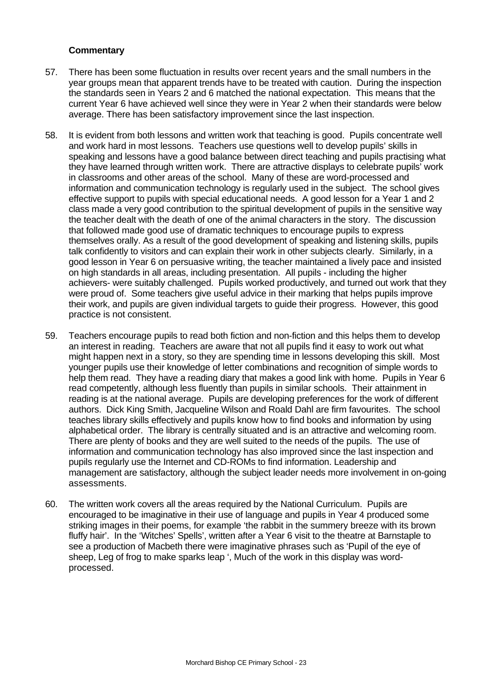- 57. There has been some fluctuation in results over recent years and the small numbers in the year groups mean that apparent trends have to be treated with caution. During the inspection the standards seen in Years 2 and 6 matched the national expectation. This means that the current Year 6 have achieved well since they were in Year 2 when their standards were below average. There has been satisfactory improvement since the last inspection.
- 58. It is evident from both lessons and written work that teaching is good. Pupils concentrate well and work hard in most lessons. Teachers use questions well to develop pupils' skills in speaking and lessons have a good balance between direct teaching and pupils practising what they have learned through written work. There are attractive displays to celebrate pupils' work in classrooms and other areas of the school. Many of these are word-processed and information and communication technology is regularly used in the subject. The school gives effective support to pupils with special educational needs. A good lesson for a Year 1 and 2 class made a very good contribution to the spiritual development of pupils in the sensitive way the teacher dealt with the death of one of the animal characters in the story. The discussion that followed made good use of dramatic techniques to encourage pupils to express themselves orally. As a result of the good development of speaking and listening skills, pupils talk confidently to visitors and can explain their work in other subjects clearly. Similarly, in a good lesson in Year 6 on persuasive writing, the teacher maintained a lively pace and insisted on high standards in all areas, including presentation. All pupils - including the higher achievers- were suitably challenged. Pupils worked productively, and turned out work that they were proud of. Some teachers give useful advice in their marking that helps pupils improve their work, and pupils are given individual targets to guide their progress. However, this good practice is not consistent.
- 59. Teachers encourage pupils to read both fiction and non-fiction and this helps them to develop an interest in reading. Teachers are aware that not all pupils find it easy to work out what might happen next in a story, so they are spending time in lessons developing this skill. Most younger pupils use their knowledge of letter combinations and recognition of simple words to help them read. They have a reading diary that makes a good link with home. Pupils in Year 6 read competently, although less fluently than pupils in similar schools. Their attainment in reading is at the national average. Pupils are developing preferences for the work of different authors. Dick King Smith, Jacqueline Wilson and Roald Dahl are firm favourites. The school teaches library skills effectively and pupils know how to find books and information by using alphabetical order. The library is centrally situated and is an attractive and welcoming room. There are plenty of books and they are well suited to the needs of the pupils. The use of information and communication technology has also improved since the last inspection and pupils regularly use the Internet and CD-ROMs to find information. Leadership and management are satisfactory, although the subject leader needs more involvement in on-going assessments.
- 60. The written work covers all the areas required by the National Curriculum. Pupils are encouraged to be imaginative in their use of language and pupils in Year 4 produced some striking images in their poems, for example 'the rabbit in the summery breeze with its brown fluffy hair'. In the 'Witches' Spells', written after a Year 6 visit to the theatre at Barnstaple to see a production of Macbeth there were imaginative phrases such as 'Pupil of the eye of sheep, Leg of frog to make sparks leap ', Much of the work in this display was wordprocessed.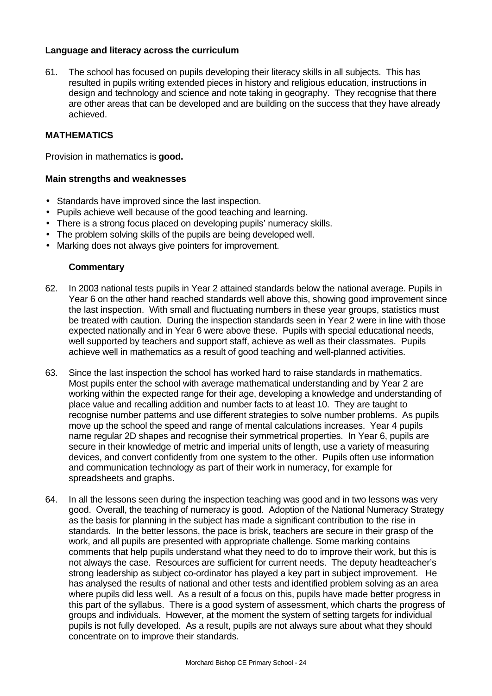## **Language and literacy across the curriculum**

61. The school has focused on pupils developing their literacy skills in all subjects. This has resulted in pupils writing extended pieces in history and religious education, instructions in design and technology and science and note taking in geography. They recognise that there are other areas that can be developed and are building on the success that they have already achieved.

#### **MATHEMATICS**

Provision in mathematics is **good.**

#### **Main strengths and weaknesses**

- Standards have improved since the last inspection.
- Pupils achieve well because of the good teaching and learning.
- There is a strong focus placed on developing pupils' numeracy skills.
- The problem solving skills of the pupils are being developed well.
- Marking does not always give pointers for improvement.

- 62. In 2003 national tests pupils in Year 2 attained standards below the national average. Pupils in Year 6 on the other hand reached standards well above this, showing good improvement since the last inspection. With small and fluctuating numbers in these year groups, statistics must be treated with caution. During the inspection standards seen in Year 2 were in line with those expected nationally and in Year 6 were above these. Pupils with special educational needs, well supported by teachers and support staff, achieve as well as their classmates. Pupils achieve well in mathematics as a result of good teaching and well-planned activities.
- 63. Since the last inspection the school has worked hard to raise standards in mathematics. Most pupils enter the school with average mathematical understanding and by Year 2 are working within the expected range for their age, developing a knowledge and understanding of place value and recalling addition and number facts to at least 10. They are taught to recognise number patterns and use different strategies to solve number problems. As pupils move up the school the speed and range of mental calculations increases. Year 4 pupils name regular 2D shapes and recognise their symmetrical properties. In Year 6, pupils are secure in their knowledge of metric and imperial units of length, use a variety of measuring devices, and convert confidently from one system to the other. Pupils often use information and communication technology as part of their work in numeracy, for example for spreadsheets and graphs.
- 64. In all the lessons seen during the inspection teaching was good and in two lessons was very good. Overall, the teaching of numeracy is good. Adoption of the National Numeracy Strategy as the basis for planning in the subject has made a significant contribution to the rise in standards. In the better lessons, the pace is brisk, teachers are secure in their grasp of the work, and all pupils are presented with appropriate challenge. Some marking contains comments that help pupils understand what they need to do to improve their work, but this is not always the case. Resources are sufficient for current needs. The deputy headteacher's strong leadership as subject co-ordinator has played a key part in subject improvement. He has analysed the results of national and other tests and identified problem solving as an area where pupils did less well. As a result of a focus on this, pupils have made better progress in this part of the syllabus. There is a good system of assessment, which charts the progress of groups and individuals. However, at the moment the system of setting targets for individual pupils is not fully developed. As a result, pupils are not always sure about what they should concentrate on to improve their standards.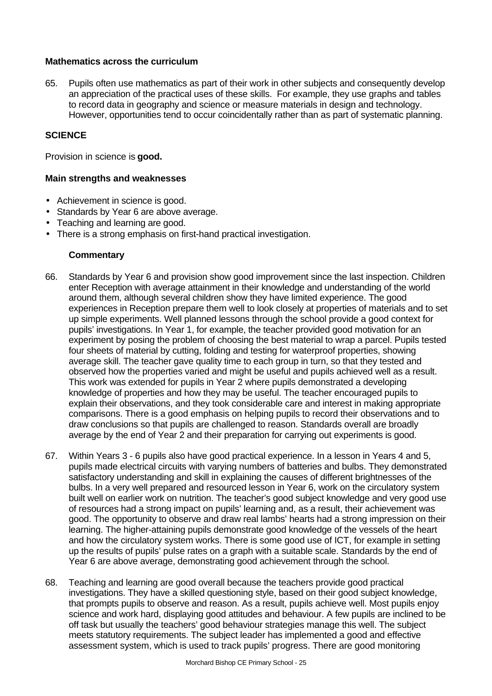## **Mathematics across the curriculum**

65. Pupils often use mathematics as part of their work in other subjects and consequently develop an appreciation of the practical uses of these skills. For example, they use graphs and tables to record data in geography and science or measure materials in design and technology. However, opportunities tend to occur coincidentally rather than as part of systematic planning.

## **SCIENCE**

Provision in science is **good.**

#### **Main strengths and weaknesses**

- Achievement in science is good.
- Standards by Year 6 are above average.
- Teaching and learning are good.
- There is a strong emphasis on first-hand practical investigation.

- 66. Standards by Year 6 and provision show good improvement since the last inspection. Children enter Reception with average attainment in their knowledge and understanding of the world around them, although several children show they have limited experience. The good experiences in Reception prepare them well to look closely at properties of materials and to set up simple experiments. Well planned lessons through the school provide a good context for pupils' investigations. In Year 1, for example, the teacher provided good motivation for an experiment by posing the problem of choosing the best material to wrap a parcel. Pupils tested four sheets of material by cutting, folding and testing for waterproof properties, showing average skill. The teacher gave quality time to each group in turn, so that they tested and observed how the properties varied and might be useful and pupils achieved well as a result. This work was extended for pupils in Year 2 where pupils demonstrated a developing knowledge of properties and how they may be useful. The teacher encouraged pupils to explain their observations, and they took considerable care and interest in making appropriate comparisons. There is a good emphasis on helping pupils to record their observations and to draw conclusions so that pupils are challenged to reason. Standards overall are broadly average by the end of Year 2 and their preparation for carrying out experiments is good.
- 67. Within Years 3 6 pupils also have good practical experience. In a lesson in Years 4 and 5, pupils made electrical circuits with varying numbers of batteries and bulbs. They demonstrated satisfactory understanding and skill in explaining the causes of different brightnesses of the bulbs. In a very well prepared and resourced lesson in Year 6, work on the circulatory system built well on earlier work on nutrition. The teacher's good subject knowledge and very good use of resources had a strong impact on pupils' learning and, as a result, their achievement was good. The opportunity to observe and draw real lambs' hearts had a strong impression on their learning. The higher-attaining pupils demonstrate good knowledge of the vessels of the heart and how the circulatory system works. There is some good use of ICT, for example in setting up the results of pupils' pulse rates on a graph with a suitable scale. Standards by the end of Year 6 are above average, demonstrating good achievement through the school.
- 68. Teaching and learning are good overall because the teachers provide good practical investigations. They have a skilled questioning style, based on their good subject knowledge, that prompts pupils to observe and reason. As a result, pupils achieve well. Most pupils enjoy science and work hard, displaying good attitudes and behaviour. A few pupils are inclined to be off task but usually the teachers' good behaviour strategies manage this well. The subject meets statutory requirements. The subject leader has implemented a good and effective assessment system, which is used to track pupils' progress. There are good monitoring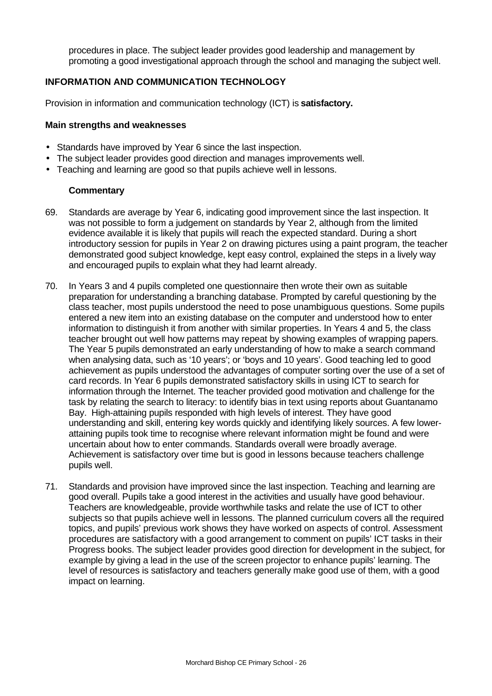procedures in place. The subject leader provides good leadership and management by promoting a good investigational approach through the school and managing the subject well.

# **INFORMATION AND COMMUNICATION TECHNOLOGY**

Provision in information and communication technology (ICT) is **satisfactory.**

#### **Main strengths and weaknesses**

- Standards have improved by Year 6 since the last inspection.
- The subject leader provides good direction and manages improvements well.
- Teaching and learning are good so that pupils achieve well in lessons.

- 69. Standards are average by Year 6, indicating good improvement since the last inspection. It was not possible to form a judgement on standards by Year 2, although from the limited evidence available it is likely that pupils will reach the expected standard. During a short introductory session for pupils in Year 2 on drawing pictures using a paint program, the teacher demonstrated good subject knowledge, kept easy control, explained the steps in a lively way and encouraged pupils to explain what they had learnt already.
- 70. In Years 3 and 4 pupils completed one questionnaire then wrote their own as suitable preparation for understanding a branching database. Prompted by careful questioning by the class teacher, most pupils understood the need to pose unambiguous questions. Some pupils entered a new item into an existing database on the computer and understood how to enter information to distinguish it from another with similar properties. In Years 4 and 5, the class teacher brought out well how patterns may repeat by showing examples of wrapping papers. The Year 5 pupils demonstrated an early understanding of how to make a search command when analysing data, such as '10 years'; or 'boys and 10 years'. Good teaching led to good achievement as pupils understood the advantages of computer sorting over the use of a set of card records. In Year 6 pupils demonstrated satisfactory skills in using ICT to search for information through the Internet. The teacher provided good motivation and challenge for the task by relating the search to literacy: to identify bias in text using reports about Guantanamo Bay. High-attaining pupils responded with high levels of interest. They have good understanding and skill, entering key words quickly and identifying likely sources. A few lowerattaining pupils took time to recognise where relevant information might be found and were uncertain about how to enter commands. Standards overall were broadly average. Achievement is satisfactory over time but is good in lessons because teachers challenge pupils well.
- 71. Standards and provision have improved since the last inspection. Teaching and learning are good overall. Pupils take a good interest in the activities and usually have good behaviour. Teachers are knowledgeable, provide worthwhile tasks and relate the use of ICT to other subjects so that pupils achieve well in lessons. The planned curriculum covers all the required topics, and pupils' previous work shows they have worked on aspects of control. Assessment procedures are satisfactory with a good arrangement to comment on pupils' ICT tasks in their Progress books. The subject leader provides good direction for development in the subject, for example by giving a lead in the use of the screen projector to enhance pupils' learning. The level of resources is satisfactory and teachers generally make good use of them, with a good impact on learning.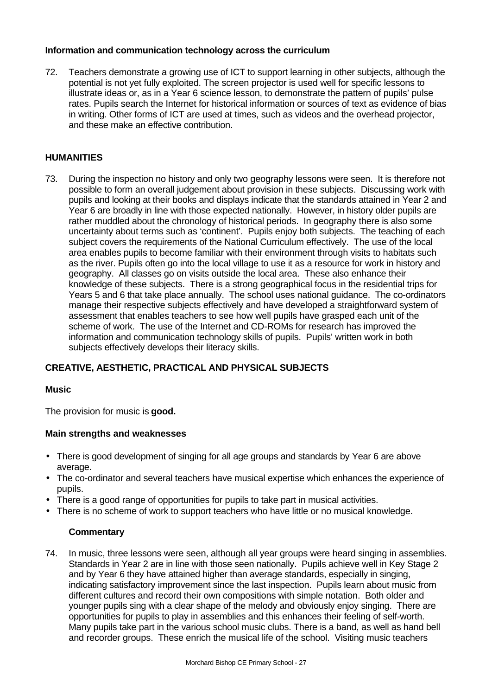# **Information and communication technology across the curriculum**

72. Teachers demonstrate a growing use of ICT to support learning in other subjects, although the potential is not yet fully exploited. The screen projector is used well for specific lessons to illustrate ideas or, as in a Year 6 science lesson, to demonstrate the pattern of pupils' pulse rates. Pupils search the Internet for historical information or sources of text as evidence of bias in writing. Other forms of ICT are used at times, such as videos and the overhead projector, and these make an effective contribution.

# **HUMANITIES**

73. During the inspection no history and only two geography lessons were seen. It is therefore not possible to form an overall judgement about provision in these subjects. Discussing work with pupils and looking at their books and displays indicate that the standards attained in Year 2 and Year 6 are broadly in line with those expected nationally. However, in history older pupils are rather muddled about the chronology of historical periods. In geography there is also some uncertainty about terms such as 'continent'. Pupils enjoy both subjects. The teaching of each subject covers the requirements of the National Curriculum effectively. The use of the local area enables pupils to become familiar with their environment through visits to habitats such as the river. Pupils often go into the local village to use it as a resource for work in history and geography. All classes go on visits outside the local area. These also enhance their knowledge of these subjects. There is a strong geographical focus in the residential trips for Years 5 and 6 that take place annually. The school uses national guidance. The co-ordinators manage their respective subjects effectively and have developed a straightforward system of assessment that enables teachers to see how well pupils have grasped each unit of the scheme of work. The use of the Internet and CD-ROMs for research has improved the information and communication technology skills of pupils. Pupils' written work in both subjects effectively develops their literacy skills.

# **CREATIVE, AESTHETIC, PRACTICAL AND PHYSICAL SUBJECTS**

## **Music**

The provision for music is **good.**

## **Main strengths and weaknesses**

- There is good development of singing for all age groups and standards by Year 6 are above average.
- The co-ordinator and several teachers have musical expertise which enhances the experience of pupils.
- There is a good range of opportunities for pupils to take part in musical activities.
- There is no scheme of work to support teachers who have little or no musical knowledge.

# **Commentary**

74. In music, three lessons were seen, although all year groups were heard singing in assemblies. Standards in Year 2 are in line with those seen nationally. Pupils achieve well in Key Stage 2 and by Year 6 they have attained higher than average standards, especially in singing, indicating satisfactory improvement since the last inspection. Pupils learn about music from different cultures and record their own compositions with simple notation. Both older and younger pupils sing with a clear shape of the melody and obviously enjoy singing. There are opportunities for pupils to play in assemblies and this enhances their feeling of self-worth. Many pupils take part in the various school music clubs. There is a band, as well as hand bell and recorder groups. These enrich the musical life of the school. Visiting music teachers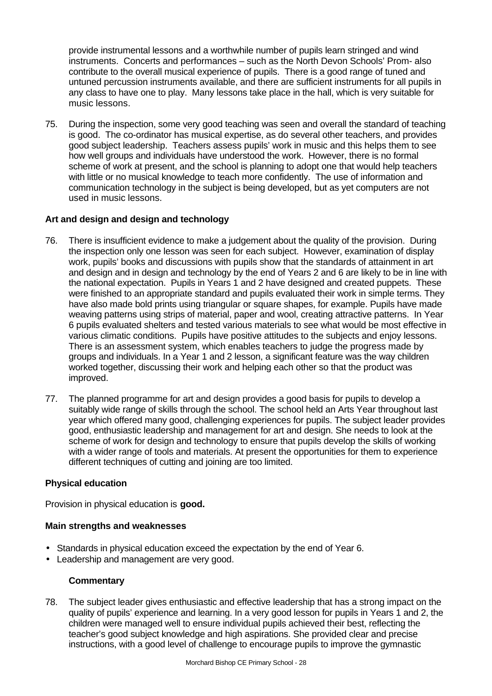provide instrumental lessons and a worthwhile number of pupils learn stringed and wind instruments. Concerts and performances – such as the North Devon Schools' Prom- also contribute to the overall musical experience of pupils. There is a good range of tuned and untuned percussion instruments available, and there are sufficient instruments for all pupils in any class to have one to play. Many lessons take place in the hall, which is very suitable for music lessons.

75. During the inspection, some very good teaching was seen and overall the standard of teaching is good. The co-ordinator has musical expertise, as do several other teachers, and provides good subject leadership. Teachers assess pupils' work in music and this helps them to see how well groups and individuals have understood the work. However, there is no formal scheme of work at present, and the school is planning to adopt one that would help teachers with little or no musical knowledge to teach more confidently. The use of information and communication technology in the subject is being developed, but as yet computers are not used in music lessons.

# **Art and design and design and technology**

- 76. There is insufficient evidence to make a judgement about the quality of the provision. During the inspection only one lesson was seen for each subject. However, examination of display work, pupils' books and discussions with pupils show that the standards of attainment in art and design and in design and technology by the end of Years 2 and 6 are likely to be in line with the national expectation. Pupils in Years 1 and 2 have designed and created puppets. These were finished to an appropriate standard and pupils evaluated their work in simple terms. They have also made bold prints using triangular or square shapes, for example. Pupils have made weaving patterns using strips of material, paper and wool, creating attractive patterns. In Year 6 pupils evaluated shelters and tested various materials to see what would be most effective in various climatic conditions. Pupils have positive attitudes to the subjects and enjoy lessons. There is an assessment system, which enables teachers to judge the progress made by groups and individuals. In a Year 1 and 2 lesson, a significant feature was the way children worked together, discussing their work and helping each other so that the product was improved.
- 77. The planned programme for art and design provides a good basis for pupils to develop a suitably wide range of skills through the school. The school held an Arts Year throughout last year which offered many good, challenging experiences for pupils. The subject leader provides good, enthusiastic leadership and management for art and design. She needs to look at the scheme of work for design and technology to ensure that pupils develop the skills of working with a wider range of tools and materials. At present the opportunities for them to experience different techniques of cutting and joining are too limited.

## **Physical education**

Provision in physical education is **good.**

## **Main strengths and weaknesses**

- Standards in physical education exceed the expectation by the end of Year 6.
- Leadership and management are very good.

## **Commentary**

78. The subject leader gives enthusiastic and effective leadership that has a strong impact on the quality of pupils' experience and learning. In a very good lesson for pupils in Years 1 and 2, the children were managed well to ensure individual pupils achieved their best, reflecting the teacher's good subject knowledge and high aspirations. She provided clear and precise instructions, with a good level of challenge to encourage pupils to improve the gymnastic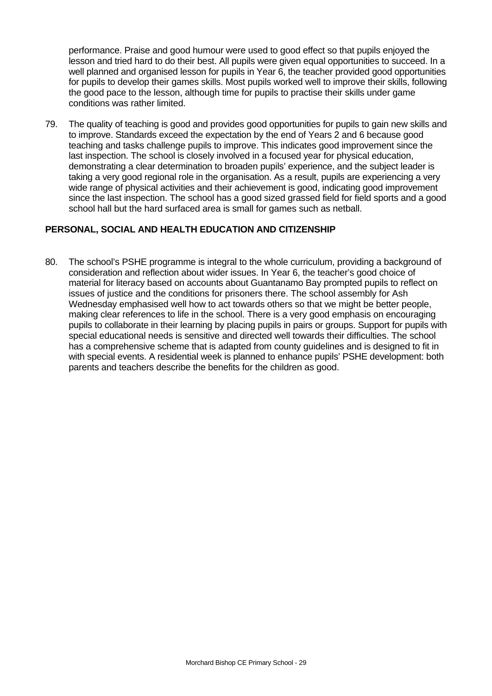performance. Praise and good humour were used to good effect so that pupils enjoyed the lesson and tried hard to do their best. All pupils were given equal opportunities to succeed. In a well planned and organised lesson for pupils in Year 6, the teacher provided good opportunities for pupils to develop their games skills. Most pupils worked well to improve their skills, following the good pace to the lesson, although time for pupils to practise their skills under game conditions was rather limited.

79. The quality of teaching is good and provides good opportunities for pupils to gain new skills and to improve. Standards exceed the expectation by the end of Years 2 and 6 because good teaching and tasks challenge pupils to improve. This indicates good improvement since the last inspection. The school is closely involved in a focused year for physical education, demonstrating a clear determination to broaden pupils' experience, and the subject leader is taking a very good regional role in the organisation. As a result, pupils are experiencing a very wide range of physical activities and their achievement is good, indicating good improvement since the last inspection. The school has a good sized grassed field for field sports and a good school hall but the hard surfaced area is small for games such as netball.

# **PERSONAL, SOCIAL AND HEALTH EDUCATION AND CITIZENSHIP**

80. The school's PSHE programme is integral to the whole curriculum, providing a background of consideration and reflection about wider issues. In Year 6, the teacher's good choice of material for literacy based on accounts about Guantanamo Bay prompted pupils to reflect on issues of justice and the conditions for prisoners there. The school assembly for Ash Wednesday emphasised well how to act towards others so that we might be better people, making clear references to life in the school. There is a very good emphasis on encouraging pupils to collaborate in their learning by placing pupils in pairs or groups. Support for pupils with special educational needs is sensitive and directed well towards their difficulties. The school has a comprehensive scheme that is adapted from county guidelines and is designed to fit in with special events. A residential week is planned to enhance pupils' PSHE development: both parents and teachers describe the benefits for the children as good.